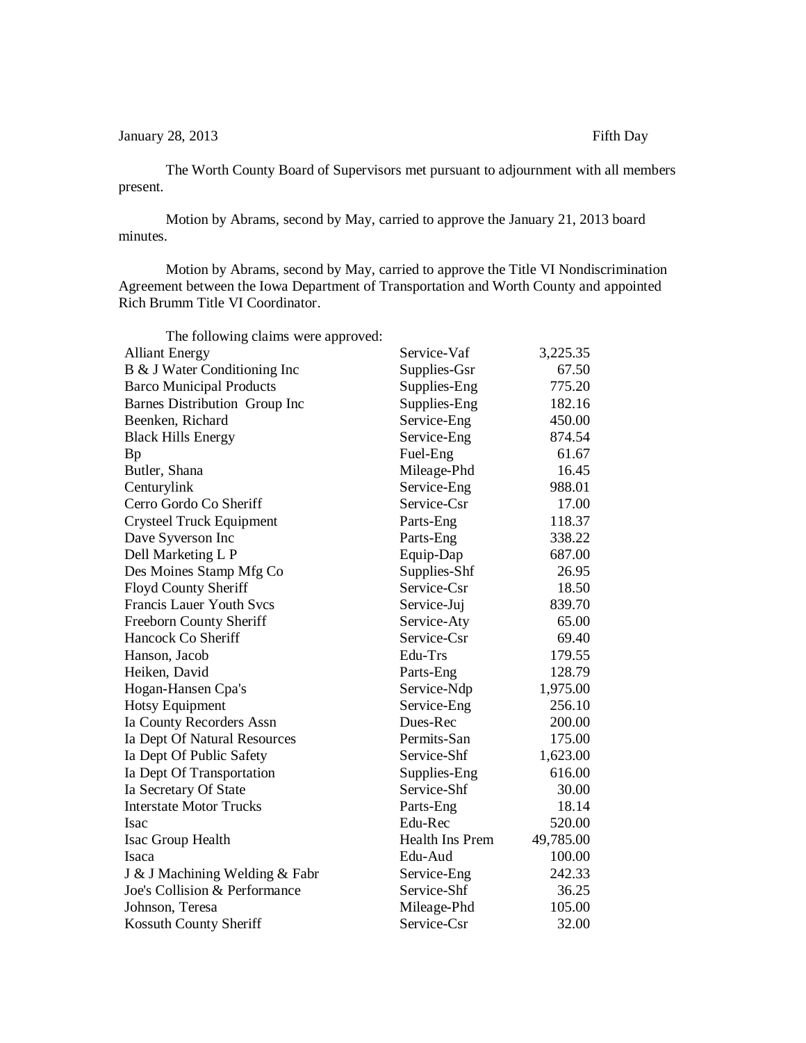January 28, 2013 Fifth Day

The Worth County Board of Supervisors met pursuant to adjournment with all members present.

Motion by Abrams, second by May, carried to approve the January 21, 2013 board minutes.

Motion by Abrams, second by May, carried to approve the Title VI Nondiscrimination Agreement between the Iowa Department of Transportation and Worth County and appointed Rich Brumm Title VI Coordinator.

| The following claims were approved: |                 |           |
|-------------------------------------|-----------------|-----------|
| <b>Alliant Energy</b>               | Service-Vaf     | 3,225.35  |
| B & J Water Conditioning Inc        | Supplies-Gsr    | 67.50     |
| <b>Barco Municipal Products</b>     | Supplies-Eng    | 775.20    |
| Barnes Distribution Group Inc       | Supplies-Eng    | 182.16    |
| Beenken, Richard                    | Service-Eng     | 450.00    |
| <b>Black Hills Energy</b>           | Service-Eng     | 874.54    |
| Bp                                  | Fuel-Eng        | 61.67     |
| Butler, Shana                       | Mileage-Phd     | 16.45     |
| Centurylink                         | Service-Eng     | 988.01    |
| Cerro Gordo Co Sheriff              | Service-Csr     | 17.00     |
| <b>Crysteel Truck Equipment</b>     | Parts-Eng       | 118.37    |
| Dave Syverson Inc                   | Parts-Eng       | 338.22    |
| Dell Marketing L P                  | Equip-Dap       | 687.00    |
| Des Moines Stamp Mfg Co             | Supplies-Shf    | 26.95     |
| Floyd County Sheriff                | Service-Csr     | 18.50     |
| <b>Francis Lauer Youth Svcs</b>     | Service-Juj     | 839.70    |
| <b>Freeborn County Sheriff</b>      | Service-Aty     | 65.00     |
| Hancock Co Sheriff                  | Service-Csr     | 69.40     |
| Hanson, Jacob                       | Edu-Trs         | 179.55    |
| Heiken, David                       | Parts-Eng       | 128.79    |
| Hogan-Hansen Cpa's                  | Service-Ndp     | 1,975.00  |
| <b>Hotsy Equipment</b>              | Service-Eng     | 256.10    |
| Ia County Recorders Assn            | Dues-Rec        | 200.00    |
| Ia Dept Of Natural Resources        | Permits-San     | 175.00    |
| Ia Dept Of Public Safety            | Service-Shf     | 1,623.00  |
| Ia Dept Of Transportation           | Supplies-Eng    | 616.00    |
| Ia Secretary Of State               | Service-Shf     | 30.00     |
| <b>Interstate Motor Trucks</b>      | Parts-Eng       | 18.14     |
| Isac                                | Edu-Rec         | 520.00    |
| Isac Group Health                   | Health Ins Prem | 49,785.00 |
| Isaca                               | Edu-Aud         | 100.00    |
| J & J Machining Welding & Fabr      | Service-Eng     | 242.33    |
| Joe's Collision & Performance       | Service-Shf     | 36.25     |
| Johnson, Teresa                     | Mileage-Phd     | 105.00    |
| Kossuth County Sheriff              | Service-Csr     | 32.00     |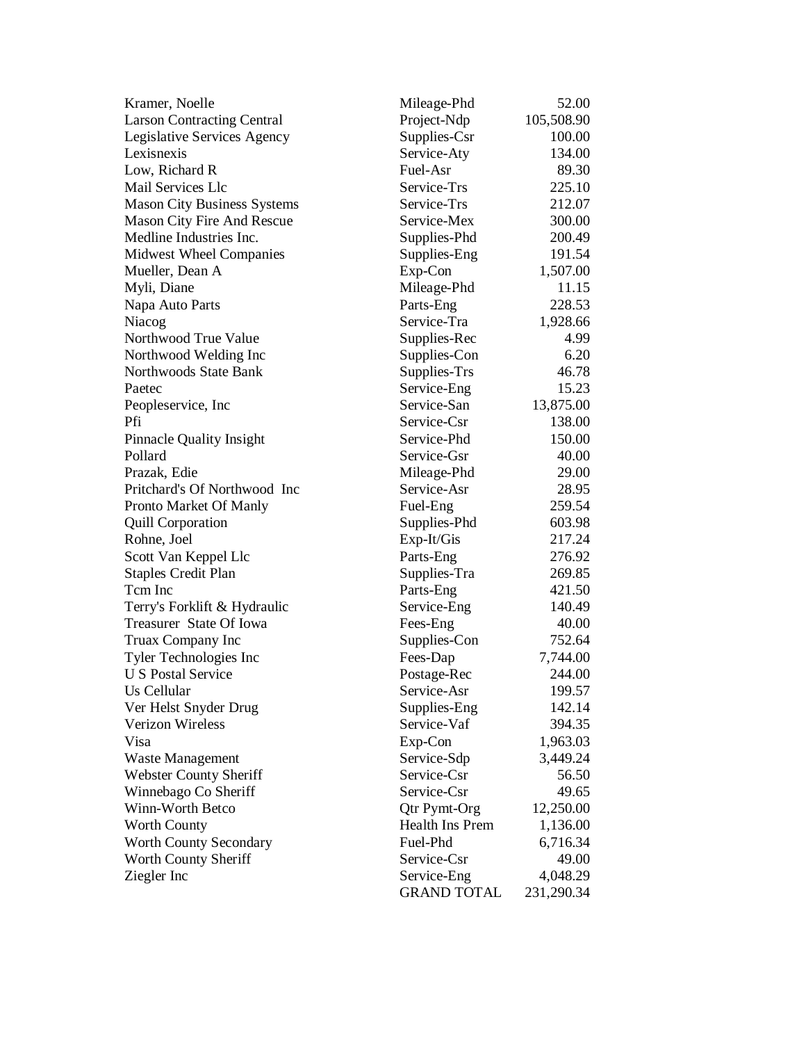| Kramer, Noelle                     | Mileage-Phd         | 52.00      |
|------------------------------------|---------------------|------------|
| <b>Larson Contracting Central</b>  | Project-Ndp         | 105,508.90 |
| Legislative Services Agency        | Supplies-Csr        | 100.00     |
| Lexisnexis                         | Service-Aty         | 134.00     |
| Low, Richard R                     | Fuel-Asr            | 89.30      |
| Mail Services Llc                  | Service-Trs         | 225.10     |
| <b>Mason City Business Systems</b> | Service-Trs         | 212.07     |
| <b>Mason City Fire And Rescue</b>  | Service-Mex         | 300.00     |
| Medline Industries Inc.            | Supplies-Phd        | 200.49     |
| <b>Midwest Wheel Companies</b>     | Supplies-Eng        | 191.54     |
| Mueller, Dean A                    | Exp-Con             | 1,507.00   |
| Myli, Diane                        | Mileage-Phd         | 11.15      |
| Napa Auto Parts                    | Parts-Eng           | 228.53     |
| Niacog                             | Service-Tra         | 1,928.66   |
| Northwood True Value               | Supplies-Rec        | 4.99       |
| Northwood Welding Inc              | Supplies-Con        | 6.20       |
| Northwoods State Bank              | Supplies-Trs        | 46.78      |
| Paetec                             | Service-Eng         | 15.23      |
| Peopleservice, Inc.                | Service-San         | 13,875.00  |
| Pfi                                | Service-Csr         | 138.00     |
| Pinnacle Quality Insight           | Service-Phd         | 150.00     |
| Pollard                            | Service-Gsr         | 40.00      |
| Prazak, Edie                       | Mileage-Phd         | 29.00      |
| Pritchard's Of Northwood Inc       | Service-Asr         | 28.95      |
| Pronto Market Of Manly             | Fuel-Eng            | 259.54     |
| <b>Quill Corporation</b>           | Supplies-Phd        | 603.98     |
| Rohne, Joel                        | Exp-It/Gis          | 217.24     |
| Scott Van Keppel Llc               | Parts-Eng           | 276.92     |
| <b>Staples Credit Plan</b>         | Supplies-Tra        | 269.85     |
| Tcm Inc                            | Parts-Eng           | 421.50     |
| Terry's Forklift & Hydraulic       | Service-Eng         | 140.49     |
| Treasurer State Of Iowa            | Fees-Eng            | 40.00      |
| Truax Company Inc                  | Supplies-Con        | 752.64     |
| Tyler Technologies Inc             | Fees-Dap            | 7,744.00   |
| <b>U S Postal Service</b>          | Postage-Rec         | 244.00     |
| Us Cellular                        | Service-Asr         | 199.57     |
| Ver Helst Snyder Drug              | Supplies-Eng        | 142.14     |
| <b>Verizon Wireless</b>            | Service-Vaf         | 394.35     |
| Visa                               | Exp-Con             | 1,963.03   |
| Waste Management                   | Service-Sdp         | 3,449.24   |
| <b>Webster County Sheriff</b>      | Service-Csr         | 56.50      |
| Winnebago Co Sheriff               | Service-Csr         | 49.65      |
| Winn-Worth Betco                   | <b>Qtr Pymt-Org</b> | 12,250.00  |
| <b>Worth County</b>                | Health Ins Prem     | 1,136.00   |
| <b>Worth County Secondary</b>      | Fuel-Phd            | 6,716.34   |
| Worth County Sheriff               | Service-Csr         | 49.00      |
| Ziegler Inc                        | Service-Eng         | 4,048.29   |
|                                    | <b>GRAND TOTAL</b>  | 231,290.34 |